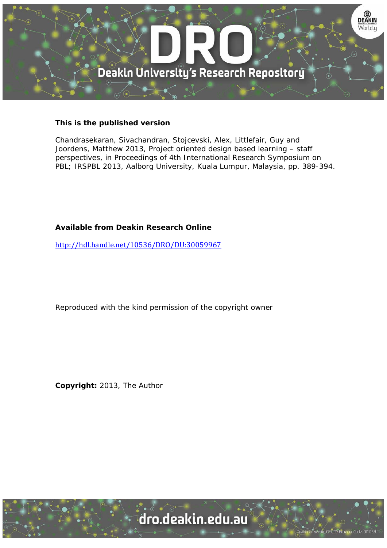

# **This is the published version**

Chandrasekaran, Sivachandran, Stojcevski, Alex, Littlefair, Guy and Joordens, Matthew 2013, Project oriented design based learning – staff perspectives, in Proceedings of 4th International Research Symposium on PBL; IRSPBL 2013, Aalborg University, Kuala Lumpur, Malaysia, pp. 389-394.

# **Available from Deakin Research Online**

http://hdl.handle.net/10536/DRO/DU:30059967

Reproduced with the kind permission of the copyright owner

**Copyright:** 2013, The Author

University CRICOS Provider Code: 00113B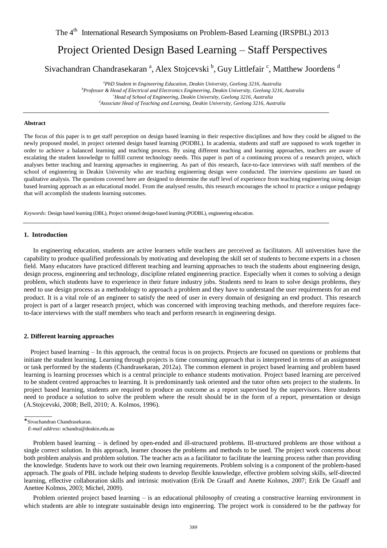# Project Oriented Design Based Learning – Staff Perspectives

Sivachandran Chandrasekaran<sup>a</sup>, Alex Stojcevski<sup>b</sup>, Guy Littlefair<sup>c</sup>, Matthew Joordens<sup>d</sup>

*<sup>a</sup>PhD Student in Engineering Education, Deakin University, Geelong 3216, Australia <sup>b</sup>Professor & Head of Electrical and Electronics Engineering, Deakin University, Geelong 3216, Australia <sup>c</sup>Head of School of Engineering, Deakin University, Geelong 3216, Australia <sup>d</sup>Associate Head of Teaching and Learning, Deakin University, Geelong 3216, Australia* 

## **Abstract**

The focus of this paper is to get staff perception on design based learning in their respective disciplines and how they could be aligned to the newly proposed model, in project oriented design based learning (PODBL). In academia, students and staff are supposed to work together in order to achieve a balanced learning and teaching process. By using different teaching and learning approaches, teachers are aware of escalating the student knowledge to fulfill current technology needs. This paper is part of a continuing process of a research project, which analyses better teaching and learning approaches in engineering. As part of this research, face-to-face interviews with staff members of the school of engineering in Deakin University who are teaching engineering design were conducted. The interview questions are based on qualitative analysis. The questions covered here are designed to determine the staff level of experience from teaching engineering using design based learning approach as an educational model. From the analysed results, this research encourages the school to practice a unique pedagogy that will accomplish the students learning outcomes.

*Keywords:* Design based learning (DBL), Project oriented design-based learning (PODBL), engineering education.

#### **1. Introduction**

In engineering education, students are active learners while teachers are perceived as facilitators. All universities have the capability to produce qualified professionals by motivating and developing the skill set of students to become experts in a chosen field. Many educators have practiced different teaching and learning approaches to teach the students about engineering design, design process, engineering and technology, discipline related engineering practice. Especially when it comes to solving a design problem, which students have to experience in their future industry jobs. Students need to learn to solve design problems, they need to use design process as a methodology to approach a problem and they have to understand the user requirements for an end product. It is a vital role of an engineer to satisfy the need of user in every domain of designing an end product. This research project is part of a larger research project, which was concerned with improving teaching methods, and therefore requires faceto-face interviews with the staff members who teach and perform research in engineering design.

#### **2. Different learning approaches**

 Project based learning – In this approach, the central focus is on projects. Projects are focused on questions or problems that initiate the student learning. Learning through projects is time consuming approach that is interpreted in terms of an assignment or task performed by the students (Chandrasekaran, 2012a). The common element in project based learning and problem based learning is learning processes which is a central principle to enhance students motivation. Project based learning are perceived to be student centred approaches to learning. It is predominantly task oriented and the tutor often sets project to the students. In project based learning, students are required to produce an outcome as a report supervised by the supervisors. Here students need to produce a solution to solve the problem where the result should be in the form of a report, presentation or design (A.Stojcevski, 2008; Bell, 2010; A. Kolmos, 1996).

Problem based learning – is defined by open-ended and ill-structured problems. Ill-structured problems are those without a single correct solution. In this approach, learner chooses the problems and methods to be used. The project work concerns about both problem analysis and problem solution. The teacher acts as a facilitator to facilitate the learning process rather than providing the knowledge. Students have to work out their own learning requirements. Problem solving is a component of the problem-based approach. The goals of PBL include helping students to develop flexible knowledge, effective problem solving skills, self-directed learning, effective collaboration skills and intrinsic motivation (Erik De Graaff and Anette Kolmos, 2007; Erik De Graaff and Anettee Kolmos, 2003; Michel, 2009).

Problem oriented project based learning – is an educational philosophy of creating a constructive learning environment in which students are able to integrate sustainable design into engineering. The project work is considered to be the pathway for

<sup>\*</sup>Sivachandran Chandrasekaran.

*E-mail address*: schandra@deakin.edu.au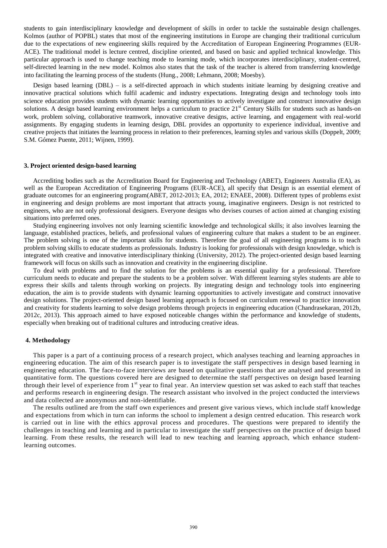students to gain interdisciplinary knowledge and development of skills in order to tackle the sustainable design challenges. Kolmos (author of POPBL) states that most of the engineering institutions in Europe are changing their traditional curriculum due to the expectations of new engineering skills required by the Accreditation of European Engineering Programmes (EUR-ACE). The traditional model is lecture centred, discipline oriented, and based on basic and applied technical knowledge. This particular approach is used to change teaching mode to learning mode, which incorporates interdisciplinary, student-centred, self-directed learning in the new model. Kolmos also states that the task of the teacher is altered from transferring knowledge into facilitating the learning process of the students (Hung., 2008; Lehmann, 2008; Moesby).

Design based learning (DBL) – is a self-directed approach in which students initiate learning by designing creative and innovative practical solutions which fulfil academic and industry expectations. Integrating design and technology tools into science education provides students with dynamic learning opportunities to actively investigate and construct innovative design solutions. A design based learning environment helps a curriculum to practice  $21<sup>st</sup>$  Century Skills for students such as hands-on work, problem solving, collaborative teamwork, innovative creative designs, active learning, and engagement with real-world assignments. By engaging students in learning design, DBL provides an opportunity to experience individual, inventive and creative projects that initiates the learning process in relation to their preferences, learning styles and various skills (Doppelt, 2009; S.M. Gómez Puente, 2011; Wijnen, 1999).

#### **3. Project oriented design-based learning**

Accrediting bodies such as the Accreditation Board for Engineering and Technology (ABET), Engineers Australia (EA), as well as the European Accreditation of Engineering Programs (EUR-ACE), all specify that Design is an essential element of graduate outcomes for an engineering program(ABET, 2012-2013; EA, 2012; ENAEE, 2008). Different types of problems exist in engineering and design problems are most important that attracts young, imaginative engineers. Design is not restricted to engineers, who are not only professional designers. Everyone designs who devises courses of action aimed at changing existing situations into preferred ones.

Studying engineering involves not only learning scientific knowledge and technological skills; it also involves learning the language, established practices, beliefs, and professional values of engineering culture that makes a student to be an engineer. The problem solving is one of the important skills for students. Therefore the goal of all engineering programs is to teach problem solving skills to educate students as professionals. Industry is looking for professionals with design knowledge, which is integrated with creative and innovative interdisciplinary thinking (University, 2012). The project-oriented design based learning framework will focus on skills such as innovation and creativity in the engineering discipline.

To deal with problems and to find the solution for the problems is an essential quality for a professional. Therefore curriculum needs to educate and prepare the students to be a problem solver. With different learning styles students are able to express their skills and talents through working on projects. By integrating design and technology tools into engineering education, the aim is to provide students with dynamic learning opportunities to actively investigate and construct innovative design solutions. The project-oriented design based learning approach is focused on curriculum renewal to practice innovation and creativity for students learning to solve design problems through projects in engineering education (Chandrasekaran, 2012b, 2012c, 2013). This approach aimed to have exposed noticeable changes within the performance and knowledge of students, especially when breaking out of traditional cultures and introducing creative ideas.

## **4. Methodology**

This paper is a part of a continuing process of a research project, which analyses teaching and learning approaches in engineering education. The aim of this research paper is to investigate the staff perspectives in design based learning in engineering education. The face-to-face interviews are based on qualitative questions that are analysed and presented in quantitative form. The questions covered here are designed to determine the staff perspectives on design based learning through their level of experience from  $1<sup>st</sup>$  year to final year. An interview question set was asked to each staff that teaches and performs research in engineering design. The research assistant who involved in the project conducted the interviews and data collected are anonymous and non-identifiable.

The results outlined are from the staff own experiences and present give various views, which include staff knowledge and expectations from which in turn can informs the school to implement a design centred education. This research work is carried out in line with the ethics approval process and procedures. The questions were prepared to identify the challenges in teaching and learning and in particular to investigate the staff perspectives on the practice of design based learning. From these results, the research will lead to new teaching and learning approach, which enhance studentlearning outcomes.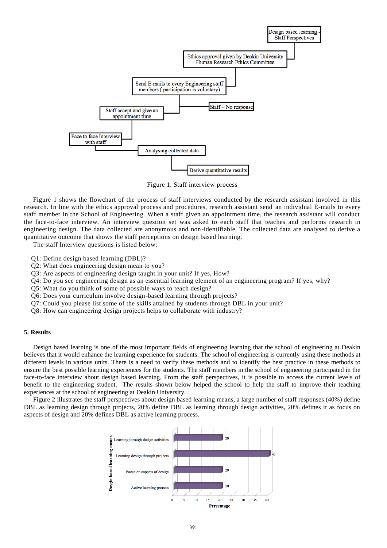

Figure 1. Staff interview process

Figure 1 shows the flowchart of the process of staff interviews conducted by the research assistant involved in this research. In line with the ethics approval process and procedures, research assistant send an individual E-mails to every staff member in the School of Engineering. When a staff given an appointment time, the research assistant will conduct the face-to-face interview. An interview question set was asked to each staff that teaches and performs research in engineering design. The data collected are anonymous and non-identifiable. The collected data are analysed to derive a quantitative outcome that shows the staff perceptions on design based learning.

The staff Interview questions is listed below:

- Q1: Define design based learning (DBL)?
- Q2: What does engineering design mean to you?
- Q3: Are aspects of engineering design taught in your unit? If yes, How?
- Q4: Do you see engineering design as an essential learning element of an engineering program? If yes, why?
- Q5: What do you think of some of possible ways to teach design?
- Q6: Does your curriculum involve design-based learning through projects?
- Q7: Could you please list some of the skills attained by students through DBL in your unit?
- Q8: How can engineering design projects helps to collaborate with industry?

# **5. Results**

Design based learning is one of the most important fields of engineering learning that the school of engineering at Deakin believes that it would enhance the learning experience for students. The school of engineering is currently using these methods at different levels in various units. There is a need to verify these methods and to identify the best practice in these methods to ensure the best possible learning experiences for the students. The staff members in the school of engineering participated in the face-to-face interview about design based learning. From the staff perspectives, it is possible to access the current levels of benefit to the engineering student. The results shown below helped the school to help the staff to improve their teaching experiences at the school of engineering at Deakin University.

Figure 2 illustrates the staff perspectives about design based learning means, a large number of staff responses (40%) define DBL as learning design through projects, 20% define DBL as learning through design activities, 20% defines it as focus on aspects of design and 20% defines DBL as active learning process.

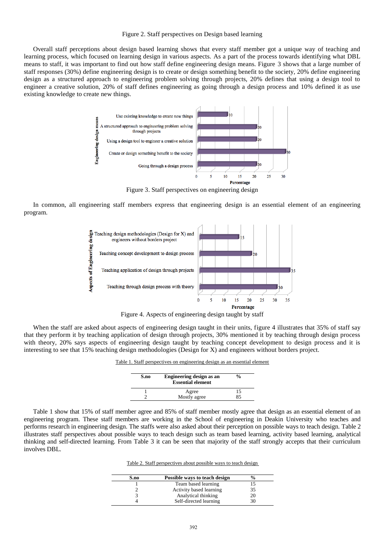#### Figure 2. Staff perspectives on Design based learning

Overall staff perceptions about design based learning shows that every staff member got a unique way of teaching and learning process, which focused on learning design in various aspects. As a part of the process towards identifying what DBL means to staff, it was important to find out how staff define engineering design means. Figure 3 shows that a large number of staff responses (30%) define engineering design is to create or design something benefit to the society, 20% define engineering design as a structured approach to engineering problem solving through projects, 20% defines that using a design tool to engineer a creative solution, 20% of staff defines engineering as going through a design process and 10% defined it as use existing knowledge to create new things.



Figure 3. Staff perspectives on engineering design

In common, all engineering staff members express that engineering design is an essential element of an engineering program.



Figure 4. Aspects of engineering design taught by staff

When the staff are asked about aspects of engineering design taught in their units, figure 4 illustrates that 35% of staff say that they perform it by teaching application of design through projects, 30% mentioned it by teaching through design process with theory, 20% says aspects of engineering design taught by teaching concept development to design process and it is interesting to see that 15% teaching design methodologies (Design for X) and engineers without borders project.

Table 1. Staff perspectives on engineering design as an essential element

| S.no | Engineering design as an<br><b>Essential element</b> | $\frac{6}{9}$ |
|------|------------------------------------------------------|---------------|
|      | Agree                                                |               |
|      | Mostly agree                                         |               |

 Table 1 show that 15% of staff member agree and 85% of staff member mostly agree that design as an essential element of an engineering program. These staff members are working in the School of engineering in Deakin University who teaches and performs research in engineering design. The staffs were also asked about their perception on possible ways to teach design. Table 2 illustrates staff perspectives about possible ways to teach design such as team based learning, activity based learning, analytical thinking and self-directed learning. From Table 3 it can be seen that majority of the staff strongly accepts that their curriculum involves DBL.

Table 2. Staff perspectives about possible ways to teach design

| S.no | Possible ways to teach design |    |  |
|------|-------------------------------|----|--|
|      | Team based learning           | 15 |  |
|      | Activity based learning       | 35 |  |
|      | Analytical thinking           | 20 |  |
|      | Self-directed learning        | 30 |  |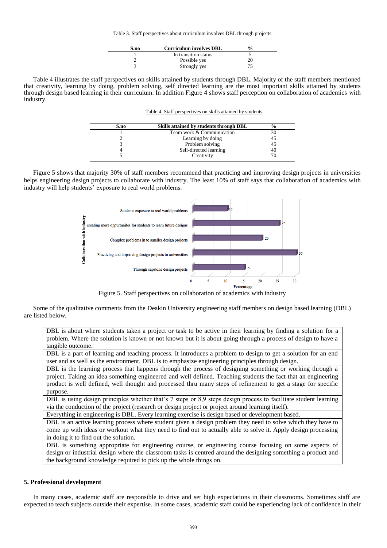Table 3. Staff perspectives about curriculum involves DBL through projects

| S.no | <b>Curriculum involves DBL</b> | $\frac{v}{\alpha}$ |
|------|--------------------------------|--------------------|
|      | In transition status           |                    |
|      | Possible yes                   |                    |
|      | Strongly yes                   |                    |

Table 4 illustrates the staff perspectives on skills attained by students through DBL. Majority of the staff members mentioned that creativity, learning by doing, problem solving, self directed learning are the most important skills attained by students through design based learning in their curriculum. In addition Figure 4 shows staff perception on collaboration of academics with industry.

| Table 4. Staff perspectives on skills attained by students |  |  |  |
|------------------------------------------------------------|--|--|--|
|                                                            |  |  |  |

| S.no | Skills attained by students through DBL | $\frac{6}{9}$ |  |
|------|-----------------------------------------|---------------|--|
|      | Team work & Communication               | 30            |  |
|      | Learning by doing                       | 45            |  |
|      | Problem solving                         | 45            |  |
|      | Self-directed learning                  | 40            |  |
|      | Creativity                              | 70.           |  |

 Figure 5 shows that majority 30% of staff members recommend that practicing and improving design projects in universities helps engineering design projects to collaborate with industry. The least 10% of staff says that collaboration of academics with industry will help students' exposure to real world problems.



Figure 5. Staff perspectives on collaboration of academics with industry

Some of the qualitative comments from the Deakin University engineering staff members on design based learning (DBL) are listed below.

DBL is about where students taken a project or task to be active in their learning by finding a solution for a problem. Where the solution is known or not known but it is about going through a process of design to have a tangible outcome.

DBL is a part of learning and teaching process. It introduces a problem to design to get a solution for an end user and as well as the environment. DBL is to emphasize engineering principles through design.

DBL is the learning process that happens through the process of designing something or working through a project. Taking an idea something engineered and well defined. Teaching students the fact that an engineering product is well defined, well thought and processed thru many steps of refinement to get a stage for specific purpose.

DBL is using design principles whether that's 7 steps or 8,9 steps design process to facilitate student learning via the conduction of the project (research or design project or project around learning itself).

Everything in engineering is DBL. Every learning exercise is design based or development based.

DBL is an active learning process where student given a design problem they need to solve which they have to come up with ideas or workout what they need to find out to actually able to solve it. Apply design processing in doing it to find out the solution.

DBL is something appropriate for engineering course, or engineering course focusing on some aspects of design or industrial design where the classroom tasks is centred around the designing something a product and the background knowledge required to pick up the whole things on.

## **5. Professional development**

In many cases, academic staff are responsible to drive and set high expectations in their classrooms. Sometimes staff are expected to teach subjects outside their expertise. In some cases, academic staff could be experiencing lack of confidence in their